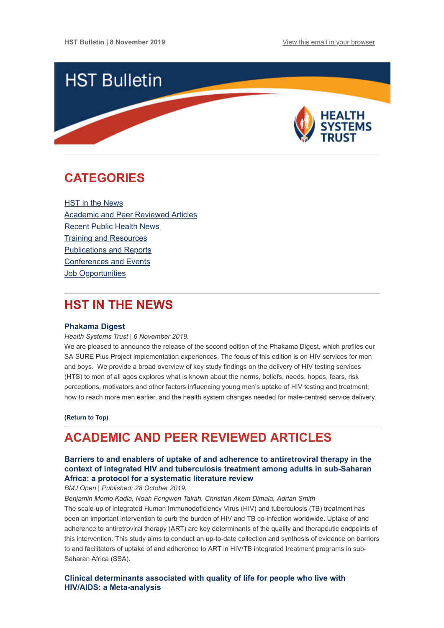

## <span id="page-0-1"></span>**CATEGORIES**

HST in the News [Academic and Peer Reviewed Articles](#page-0-0) [Recent Public Health News](#page-2-0) [Training and Resources](#page-2-1) [Publications and Reports](#page-3-0) [Conferences and Events](#page-3-1) Job Opportunities

## **HST IN THE NEWS**

### **[Phakama Digest](https://www.hst.org.za/publications/HST%20Publications/Phakama%20Digest%20November%202019_FINAL.pdf)**

*Health Systems Trust | 6 November 2019.*

We are pleased to announce the release of the second edition of the Phakama Digest, which profiles our SA SURE Plus Project implementation experiences. The focus of this edition is on HIV services for men and boys. We provide a broad overview of key study findings on the delivery of HIV testing services (HTS) to men of all ages explores what is known about the norms, beliefs, needs, hopes, fears, risk perceptions, motivators and other factors influencing young men's uptake of HIV testing and treatment; how to reach more men earlier, and the health system changes needed for male-centred service delivery.

**[\(Return to Top\)](#page-0-1)**

## <span id="page-0-0"></span>**ACADEMIC AND PEER REVIEWED ARTICLES**

## **[Barriers to and enablers of uptake of and adherence to antiretroviral therapy in the](https://bmjopen.bmj.com/content/9/10/e031789) context of integrated HIV and tuberculosis treatment among adults in sub-Saharan Africa: a protocol for a systematic literature review**

*BMJ Open | Published: 28 October 2019.*

*Benjamin Momo Kadia, Noah Fongwen Takah, Christian Akem Dimala, Adrian Smith*

The scale-up of integrated Human Immunodeficiency Virus (HIV) and tuberculosis (TB) treatment has been an important intervention to curb the burden of HIV and TB co-infection worldwide. Uptake of and adherence to antiretroviral therapy (ART) are key determinants of the quality and therapeutic endpoints of this intervention. This study aims to conduct an up-to-date collection and synthesis of evidence on barriers to and facilitators of uptake of and adherence to ART in HIV/TB integrated treatment programs in sub-Saharan Africa (SSA).

**[Clinical determinants associated with quality of life for people who live with](https://bmchealthservres.biomedcentral.com/articles/10.1186/s12913-019-4659-z) HIV/AIDS: a Meta-analysis**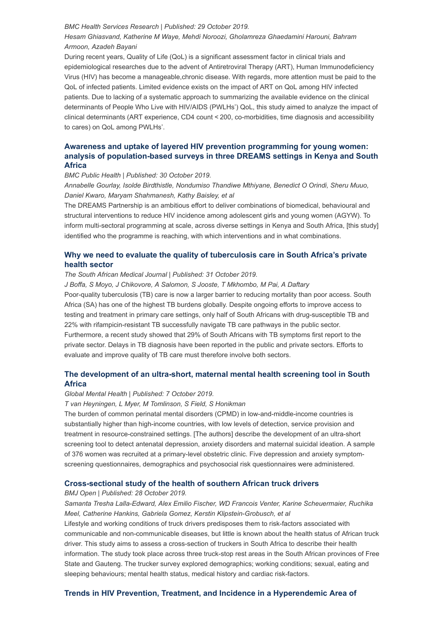#### *BMC Health Services Research | Published: 29 October 2019.*

## *Hesam Ghiasvand, Katherine M Waye, Mehdi Noroozi, Gholamreza Ghaedamini Harouni, Bahram Armoon, Azadeh Bayani*

During recent years, Quality of Life (QoL) is a significant assessment factor in clinical trials and epidemiological researches due to the advent of Antiretroviral Therapy (ART), Human Immunodeficiency Virus (HIV) has become a manageable,chronic disease. With regards, more attention must be paid to the QoL of infected patients. Limited evidence exists on the impact of ART on QoL among HIV infected patients. Due to lacking of a systematic approach to summarizing the available evidence on the clinical determinants of People Who Live with HIV/AIDS (PWLHs') QoL, this study aimed to analyze the impact of clinical determinants (ART experience, CD4 count < 200, co-morbidities, time diagnosis and accessibility to cares) on QoL among PWLHs'.

## **Awareness and uptake of layered HIV prevention programming for young women: [analysis of population-based surveys in three DREAMS settings in Kenya and South](https://bmcpublichealth.biomedcentral.com/articles/10.1186/s12889-019-7766-1) Africa**

*BMC Public Health | Published: 30 October 2019.*

*Annabelle Gourlay, Isolde Birdthistle, Nondumiso Thandiwe Mthiyane, Benedict O Orindi, Sheru Muuo, Daniel Kwaro, Maryam Shahmanesh, Kathy Baisley, et al*

The DREAMS Partnership is an ambitious effort to deliver combinations of biomedical, behavioural and structural interventions to reduce HIV incidence among adolescent girls and young women (AGYW). To inform multi-sectoral programming at scale, across diverse settings in Kenya and South Africa, [this study] identified who the programme is reaching, with which interventions and in what combinations.

## **[Why we need to evaluate the quality of tuberculosis care in South Africa's private](http://www.samj.org.za/index.php/samj/article/view/12765/9032) health sector**

*The South African Medical Journal | Published: 31 October 2019.*

*J Boffa, S Moyo, J Chikovore, A Salomon, S Jooste, T Mkhombo, M Pai, A Daftary*

Poor-quality tuberculosis (TB) care is now a larger barrier to reducing mortality than poor access. South Africa (SA) has one of the highest TB burdens globally. Despite ongoing efforts to improve access to testing and treatment in primary care settings, only half of South Africans with drug-susceptible TB and 22% with rifampicin-resistant TB successfully navigate TB care pathways in the public sector. Furthermore, a recent study showed that 29% of South Africans with TB symptoms first report to the private sector. Delays in TB diagnosis have been reported in the public and private sectors. Efforts to evaluate and improve quality of TB care must therefore involve both sectors.

## **[The development of an ultra-short, maternal mental health screening tool in South](https://www.cambridge.org/core/product/BE276530B066A8C1D9A37B2C1B0909C0/core-reader) Africa**

#### *Global Mental Health | Published: 7 October 2019.*

*T van Heyningen, L Myer, M Tomlinson, S Field, S Honikman*

The burden of common perinatal mental disorders (CPMD) in low-and-middle-income countries is substantially higher than high-income countries, with low levels of detection, service provision and treatment in resource-constrained settings. [The authors] describe the development of an ultra-short screening tool to detect antenatal depression, anxiety disorders and maternal suicidal ideation. A sample of 376 women was recruited at a primary-level obstetric clinic. Five depression and anxiety symptomscreening questionnaires, demographics and psychosocial risk questionnaires were administered.

#### **[Cross-sectional study of the health of southern African truck drivers](https://bmjopen.bmj.com/content/9/10/e032025)**

*BMJ Open | Published: 28 October 2019.*

*Samanta Tresha Lalla-Edward, Alex Emilio Fischer, WD Francois Venter, Karine Scheuermaier, Ruchika Meel, Catherine Hankins, Gabriela Gomez, Kerstin Klipstein-Grobusch, et al* 

Lifestyle and working conditions of truck drivers predisposes them to risk-factors associated with communicable and non-communicable diseases, but little is known about the health status of African truck driver. This study aims to assess a cross-section of truckers in South Africa to describe their health information. The study took place across three truck-stop rest areas in the South African provinces of Free State and Gauteng. The trucker survey explored demographics; working conditions; sexual, eating and sleeping behaviours; mental health status, medical history and cardiac risk-factors.

## **[Trends in HIV Prevention, Treatment, and Incidence in a Hyperendemic Area of](https://jamanetwork.com/journals/jamanetworkopen/fullarticle/2753789)**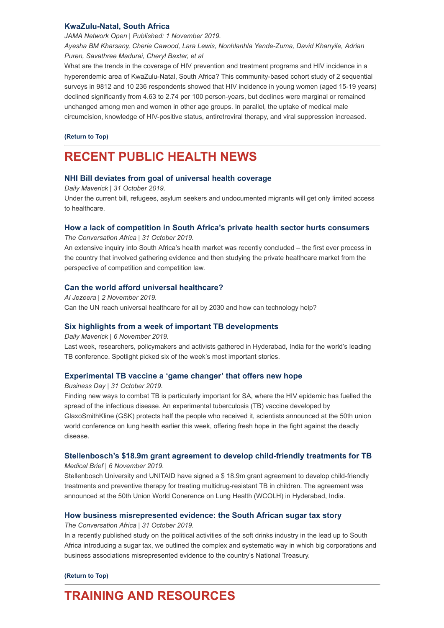### **[KwaZulu-Natal, South Africa](https://jamanetwork.com/journals/jamanetworkopen/fullarticle/2753789)**

*JAMA Network Open | Published: 1 November 2019. Ayesha BM Kharsany, Cherie Cawood, Lara Lewis, Nonhlanhla Yende-Zuma, David Khanyile, Adrian Puren, Savathree Madurai, Cheryl Baxter, et al*

What are the trends in the coverage of HIV prevention and treatment programs and HIV incidence in a hyperendemic area of KwaZulu-Natal, South Africa? This community-based cohort study of 2 sequential surveys in 9812 and 10 236 respondents showed that HIV incidence in young women (aged 15-19 years) declined significantly from 4.63 to 2.74 per 100 person-years, but declines were marginal or remained unchanged among men and women in other age groups. In parallel, the uptake of medical male circumcision, knowledge of HIV-positive status, antiretroviral therapy, and viral suppression increased.

#### **[\(Return to Top\)](#page-0-1)**

## <span id="page-2-0"></span>**RECENT PUBLIC HEALTH NEWS**

### **[NHI Bill deviates from goal of universal health coverage](https://www.dailymaverick.co.za/article/2019-10-31-nhi-bill-deviates-from-goal-of-universal-health-coverage/)**

*Daily Maverick | 31 October 2019.* Under the current bill, refugees, asylum seekers and undocumented migrants will get only limited access to healthcare.

### **[How a lack of competition in South Africa's private health sector hurts consumers](https://theconversation.com/how-a-lack-of-competition-in-south-africas-private-health-sector-hurts-consumers-125380)**

*The Conversation Africa | 31 October 2019.* 

An extensive inquiry into South Africa's health market was recently concluded – the first ever process in the country that involved gathering evidence and then studying the private healthcare market from the perspective of competition and competition law.

#### **[Can the world afford universal healthcare?](https://www.aljazeera.com/programmes/countingthecost/2019/11/world-afford-universal-healthcare-191102111241657.html?utm_source=Global+Health+NOW+Main+List&utm_campaign=6dd52c686d-EMAIL_CAMPAIGN_2019_11_01_12_30&utm_medium=email&utm_term=0_8d0d062dbd-6dd52c686d-2811001)**

*Al Jezeera | 2 November 2019.*  Can the UN reach universal healthcare for all by 2030 and how can technology help?

#### **[Six highlights from a week of important TB developments](https://www.dailymaverick.co.za/article/2019-11-06-six-highlights-from-a-week-of-important-tb-developments/)**

*Daily Maverick | 6 November 2019.* 

Last week, researchers, policymakers and activists gathered in Hyderabad, India for the world's leading TB conference. Spotlight picked six of the week's most important stories.

### **[Experimental TB vaccine a 'game changer' that offers new hope](https://www.businesslive.co.za/bd/national/health/2019-10-31-experimental-tb-vaccine-a-game-changer-that-offers-new-hope/)**

*Business Day | 31 October 2019.*

Finding new ways to combat TB is particularly important for SA, where the HIV epidemic has fuelled the spread of the infectious disease. An experimental tuberculosis (TB) vaccine developed by GlaxoSmithKline (GSK) protects half the people who received it, scientists announced at the 50th union world conference on lung health earlier this week, offering fresh hope in the fight against the deadly disease.

#### **[Stellenbosch's \\$18.9m grant agreement to develop child-friendly treatments for TB](https://www.medicalbrief.co.za/archives/stellenboschs-18-9m-grant-agreement-to-develop-child-friendly-treatments-for-tb/)**

*Medical Brief | 6 November 2019.*

Stellenbosch University and UNITAID have signed a \$ 18.9m grant agreement to develop child-friendly treatments and preventive therapy for treating multidrug-resistant TB in children. The agreement was announced at the 50th Union World Conerence on Lung Health (WCOLH) in Hyderabad, India.

### **[How business misrepresented evidence: the South African sugar tax story](https://theconversation.com/how-business-misrepresented-evidence-the-south-african-sugar-tax-story-125421)**

*The Conversation Africa | 31 October 2019.*

In a recently published study on the political activities of the soft drinks industry in the lead up to South Africa introducing a sugar tax, we outlined the complex and systematic way in which big corporations and business associations misrepresented evidence to the country's National Treasury.

#### **[\(Return to Top\)](#page-0-1)**

# <span id="page-2-1"></span>**TRAINING AND RESOURCES**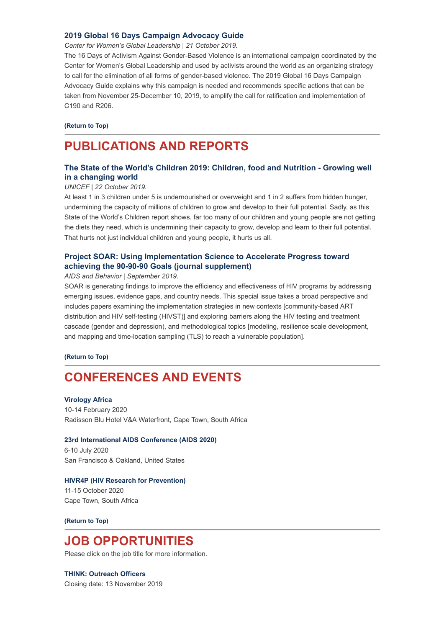### **[2019 Global 16 Days Campaign Advocacy Guide](https://16dayscampaign.org/wp-content/uploads/2019/10/2019-Global-16-Days-Campaign-Guide-Final.pdf)**

*Center for Women's Global Leadership | 21 October 2019.*

The 16 Days of Activism Against Gender-Based Violence is an international campaign coordinated by the Center for Women's Global Leadership and used by activists around the world as an organizing strategy to call for the elimination of all forms of gender-based violence. The 2019 Global 16 Days Campaign Advocacy Guide explains why this campaign is needed and recommends specific actions that can be taken from November 25-December 10, 2019, to amplify the call for ratification and implementation of C190 and R206.

#### **[\(Return to Top\)](#page-0-1)**

## <span id="page-3-0"></span>**PUBLICATIONS AND REPORTS**

## **[The State of the World's Children 2019: Children, food and Nutrition - Growing well](https://www.hst.org.za/publications/NonHST%20Publications/SOWC-2019.pdf) in a changing world**

#### *UNICEF | 22 October 2019.*

At least 1 in 3 children under 5 is undernourished or overweight and 1 in 2 suffers from hidden hunger, undermining the capacity of millions of children to grow and develop to their full potential. Sadly, as this State of the World's Children report shows, far too many of our children and young people are not getting the diets they need, which is undermining their capacity to grow, develop and learn to their full potential. That hurts not just individual children and young people, it hurts us all.

## **[Project SOAR: Using Implementation Science to Accelerate Progress toward](https://link.springer.com/journal/10461/23/2/suppl) achieving the 90-90-90 Goals (journal supplement)**

#### *AIDS and Behavior | September 2019.*

SOAR is generating findings to improve the efficiency and effectiveness of HIV programs by addressing emerging issues, evidence gaps, and country needs. This special issue takes a broad perspective and includes papers examining the implementation strategies in new contexts [community-based ART distribution and HIV self-testing (HIVST)] and exploring barriers along the HIV testing and treatment cascade (gender and depression), and methodological topics [modeling, resilience scale development, and mapping and time-location sampling (TLS) to reach a vulnerable population].

#### **[\(Return to Top\)](#page-0-1)**

## <span id="page-3-1"></span>**CONFERENCES AND EVENTS**

#### **[Virology Africa](https://www.virologyafrica2020.com/index.html)**

10-14 February 2020 Radisson Blu Hotel V&A Waterfront, Cape Town, South Africa

#### **[23rd International AIDS Conference \(AIDS 2020\)](https://www.aids2020.org/)**

6-10 July 2020 San Francisco & Oakland, United States

#### **[HIVR4P \(HIV Research for Prevention\)](https://www.hst.org.za/Lists/HST%20Events/DispForm.aspx?ID=63&Source=https%3A%2F%2Fwww%2Ehst%2Eorg%2Eza%2FLists%2FHST%2520Events%2Fcalendar%2Easpx)**

11-15 October 2020 Cape Town, South Africa

**[\(Return to Top\)](#page-0-1)**

## **JOB OPPORTUNITIES**

Please click on the job title for more information.

## **[THINK: Outreach Officers](http://www.ngopulse.org/opportunity/2019/10/24/think-outreach-officer)**

Closing date: 13 November 2019